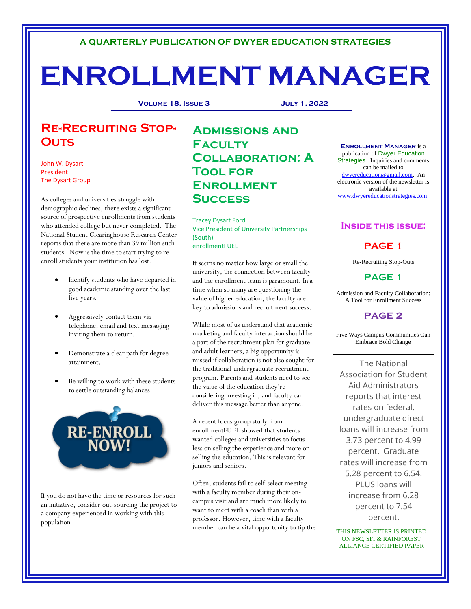# **A QUARTERLY PUBLICATION OF DWYER EDUCATION STRATEGIES**

# **ENROLLMENT MANAGER**

**Volume 18, Issue 3 July 1, 2022**

# **Re-Recruiting Stop-Outs**

John W. Dysart President The Dysart Group

As colleges and universities struggle with demographic declines, there exists a significant source of prospective enrollments from students who attended college but never completed. The National Student Clearinghouse Research Center reports that there are more than 39 million such students. Now is the time to start trying to reenroll students your institution has lost.

- Identify students who have departed in good academic standing over the last five years.
- Aggressively contact them via telephone, email and text messaging inviting them to return.
- Demonstrate a clear path for degree attainment.
- Be willing to work with these students to settle outstanding balances.



If you do not have the time or resources for such an initiative, consider out-sourcing the project to a company experienced in working with this population

# **Admissions and Faculty Collaboration: A Tool for Enrollment Success**

Tracey Dysart Ford Vice President of University Partnerships (South) enrollmentFUEL

It seems no matter how large or small the university, the connection between faculty and the enrollment team is paramount. In a time when so many are questioning the value of higher education, the faculty are key to admissions and recruitment success.

While most of us understand that academic marketing and faculty interaction should be a part of the recruitment plan for graduate and adult learners, a big opportunity is missed if collaboration is not also sought for the traditional undergraduate recruitment program. Parents and students need to see the value of the education they're considering investing in, and faculty can deliver this message better than anyone.

A recent focus group study from enrollmentFUEL showed that students wanted colleges and universities to focus less on selling the experience and more on selling the education. This is relevant for juniors and seniors.

Often, students fail to self-select meeting with a faculty member during their oncampus visit and are much more likely to want to meet with a coach than with a professor. However, time with a faculty member can be a vital opportunity to tip the

**Enrollment Manager** is a publication of Dwyer Education Strategies. Inquiries and comments can be mailed to [dwyereducation@gmail.com.](mailto:dwyereducation@gmail.com) An electronic version of the newsletter is available at [www.dwyereducationstrategies.com.](http://www.dwyereducationstrategies.com/)

## **Inside this issue:**

# **PAGE 1**

Re-Recruiting Stop-Outs

**PAGE 1**

Admission and Faculty Collaboration: A Tool for Enrollment Success

# **PAGE 2**

Five Ways Campus Communities Can Embrace Bold Change

The National Association for Student Aid Administrators reports that interest rates on federal, undergraduate direct loans will increase from 3.73 percent to 4.99 percent. Graduate rates will increase from 5.28 percent to 6.54. PLUS loans will increase from 6.28 percent to 7.54 percent.

THIS NEWSLETTER IS PRINTED ON FSC, SFI & RAINFOREST ALLIANCE CERTIFIED PAPER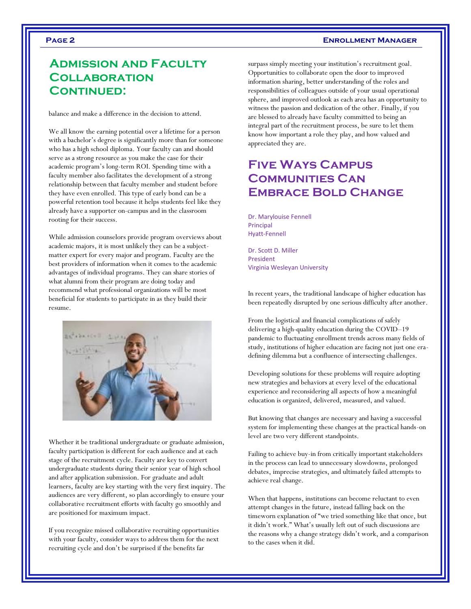### **Page 2 Enrollment Manager**

# **Admission and Faculty Collaboration Continued:**

balance and make a difference in the decision to attend.

We all know the earning potential over a lifetime for a person with a bachelor's degree is significantly more than for someone who has a high school diploma. Your faculty can and should serve as a strong resource as you make the case for their academic program's long-term ROI. Spending time with a faculty member also facilitates the development of a strong relationship between that faculty member and student before they have even enrolled. This type of early bond can be a powerful retention tool because it helps students feel like they already have a supporter on-campus and in the classroom rooting for their success.

While admission counselors provide program overviews about academic majors, it is most unlikely they can be a subjectmatter expert for every major and program. Faculty are the best providers of information when it comes to the academic advantages of individual programs. They can share stories of what alumni from their program are doing today and recommend what professional organizations will be most beneficial for students to participate in as they build their resume.



Whether it be traditional undergraduate or graduate admission, faculty participation is different for each audience and at each stage of the recruitment cycle. Faculty are key to convert undergraduate students during their senior year of high school and after application submission. For graduate and adult learners, faculty are key starting with the very first inquiry. The audiences are very different, so plan accordingly to ensure your collaborative recruitment efforts with faculty go smoothly and are positioned for maximum impact.

If you recognize missed collaborative recruiting opportunities with your faculty, consider ways to address them for the next recruiting cycle and don't be surprised if the benefits far

surpass simply meeting your institution's recruitment goal. Opportunities to collaborate open the door to improved information sharing, better understanding of the roles and responsibilities of colleagues outside of your usual operational sphere, and improved outlook as each area has an opportunity to witness the passion and dedication of the other. Finally, if you are blessed to already have faculty committed to being an integral part of the recruitment process, be sure to let them know how important a role they play, and how valued and appreciated they are.

# **Five Ways Campus Communities Can Embrace Bold Change**

Dr. Marylouise Fennell Principal Hyatt-Fennell

Dr. Scott D. Miller President Virginia Wesleyan University

In recent years, the traditional landscape of higher education has been repeatedly disrupted by one serious difficulty after another.

From the logistical and financial complications of safely delivering a high-quality education during the COVID–19 pandemic to fluctuating enrollment trends across many fields of study, institutions of higher education are facing not just one eradefining dilemma but a confluence of intersecting challenges.

Developing solutions for these problems will require adopting new strategies and behaviors at every level of the educational experience and reconsidering all aspects of how a meaningful education is organized, delivered, measured, and valued.

But knowing that changes are necessary and having a successful system for implementing these changes at the practical hands-on level are two very different standpoints.

Failing to achieve buy-in from critically important stakeholders in the process can lead to unnecessary slowdowns, prolonged debates, imprecise strategies, and ultimately failed attempts to achieve real change.

When that happens, institutions can become reluctant to even attempt changes in the future, instead falling back on the timeworn explanation of "we tried something like that once, but it didn't work." What's usually left out of such discussions are the reasons why a change strategy didn't work, and a comparison to the cases when it did.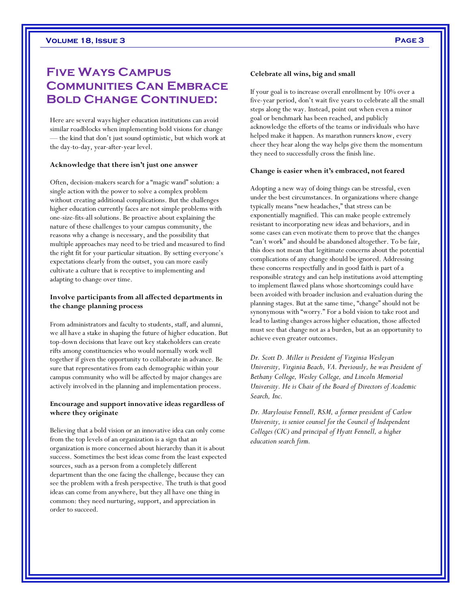# **Five Ways Campus Communities Can Embrace Bold Change Continued:**

Here are several ways higher education institutions can avoid similar roadblocks when implementing bold visions for change — the kind that don't just sound optimistic, but which work at the day-to-day, year-after-year level.

#### **Acknowledge that there isn't just one answer**

Often, decision-makers search for a "magic wand" solution: a single action with the power to solve a complex problem without creating additional complications. But the challenges higher education currently faces are not simple problems with one-size-fits-all solutions. Be proactive about explaining the nature of these challenges to your campus community, the reasons why a change is necessary, and the possibility that multiple approaches may need to be tried and measured to find the right fit for your particular situation. By setting everyone's expectations clearly from the outset, you can more easily cultivate a culture that is receptive to implementing and adapting to change over time.

#### **Involve participants from all affected departments in the change planning process**

From administrators and faculty to students, staff, and alumni, we all have a stake in shaping the future of higher education. But top-down decisions that leave out key stakeholders can create rifts among constituencies who would normally work well together if given the opportunity to collaborate in advance. Be sure that representatives from each demographic within your campus community who will be affected by major changes are actively involved in the planning and implementation process.

### **Encourage and support innovative ideas regardless of where they originate**

Believing that a bold vision or an innovative idea can only come from the top levels of an organization is a sign that an organization is more concerned about hierarchy than it is about success. Sometimes the best ideas come from the least expected sources, such as a person from a completely different department than the one facing the challenge, because they can see the problem with a fresh perspective. The truth is that good ideas can come from anywhere, but they all have one thing in common: they need nurturing, support, and appreciation in order to succeed.

#### **Celebrate all wins, big and small**

If your goal is to increase overall enrollment by 10% over a five-year period, don't wait five years to celebrate all the small steps along the way. Instead, point out when even a minor goal or benchmark has been reached, and publicly acknowledge the efforts of the teams or individuals who have helped make it happen. As marathon runners know, every cheer they hear along the way helps give them the momentum they need to successfully cross the finish line.

#### **Change is easier when it's embraced, not feared**

Adopting a new way of doing things can be stressful, even under the best circumstances. In organizations where change typically means "new headaches," that stress can be exponentially magnified. This can make people extremely resistant to incorporating new ideas and behaviors, and in some cases can even motivate them to prove that the changes "can't work" and should be abandoned altogether. To be fair, this does not mean that legitimate concerns about the potential complications of any change should be ignored. Addressing these concerns respectfully and in good faith is part of a responsible strategy and can help institutions avoid attempting to implement flawed plans whose shortcomings could have been avoided with broader inclusion and evaluation during the planning stages. But at the same time, "change" should not be synonymous with "worry." For a bold vision to take root and lead to lasting changes across higher education, those affected must see that change not as a burden, but as an opportunity to achieve even greater outcomes.

*Dr. Scott D. Miller is President of Virginia Wesleyan University, Virginia Beach, VA. Previously, he was President of Bethany College, Wesley College, and Lincoln Memorial University. He is Chair of the Board of Directors of Academic Search, Inc.*

*Dr. Marylouise Fennell, RSM, a former president of Carlow University, is senior counsel for the Council of Independent Colleges (CIC) and principal of Hyatt Fennell, a higher education search firm.*